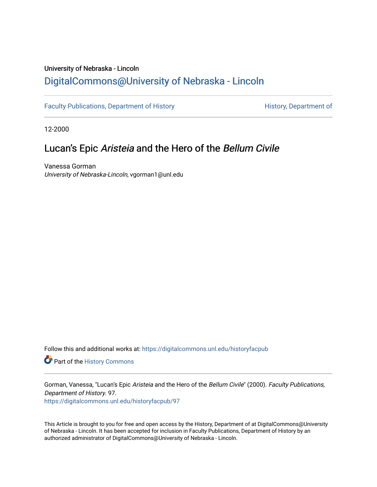## University of Nebraska - Lincoln [DigitalCommons@University of Nebraska - Lincoln](https://digitalcommons.unl.edu/)

[Faculty Publications, Department of History](https://digitalcommons.unl.edu/historyfacpub) **History** History, Department of

12-2000

## Lucan's Epic Aristeia and the Hero of the Bellum Civile

Vanessa Gorman University of Nebraska-Lincoln, vgorman1@unl.edu

Follow this and additional works at: [https://digitalcommons.unl.edu/historyfacpub](https://digitalcommons.unl.edu/historyfacpub?utm_source=digitalcommons.unl.edu%2Fhistoryfacpub%2F97&utm_medium=PDF&utm_campaign=PDFCoverPages) 

Part of the [History Commons](http://network.bepress.com/hgg/discipline/489?utm_source=digitalcommons.unl.edu%2Fhistoryfacpub%2F97&utm_medium=PDF&utm_campaign=PDFCoverPages) 

Gorman, Vanessa, "Lucan's Epic Aristeia and the Hero of the Bellum Civile" (2000). Faculty Publications, Department of History. 97.

[https://digitalcommons.unl.edu/historyfacpub/97](https://digitalcommons.unl.edu/historyfacpub/97?utm_source=digitalcommons.unl.edu%2Fhistoryfacpub%2F97&utm_medium=PDF&utm_campaign=PDFCoverPages)

This Article is brought to you for free and open access by the History, Department of at DigitalCommons@University of Nebraska - Lincoln. It has been accepted for inclusion in Faculty Publications, Department of History by an authorized administrator of DigitalCommons@University of Nebraska - Lincoln.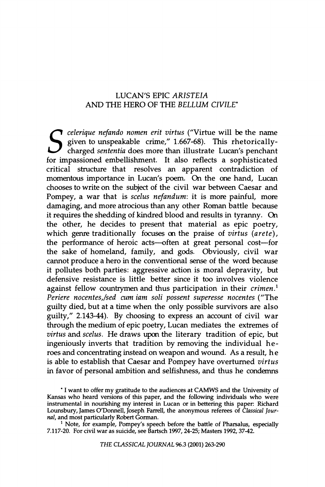## **LUCAN'S EPIC ARISTEIA AND THE HERO OF THE BELLUM CIVILE\***

**celerique nefando nomen erit virtus ("Virtue will be the name given to unspeakable crime," 1.667-68). This rhetoricallycharged sententia does more than illustrate Lucan's penchant for impassioned embellishment. It also reflects a sophisticated critical structure that resolves an apparent contradiction of momentous importance in Lucan's poem. On the one hand, Lucan chooses to write on the subject of the civil war between Caesar and Pompey, a war that is scelus nefandum: it is more painful, more damaging, and more atrocious than any other Roman battle because it requires the shedding of kindred blood and results in tyranny. On the other, he decides to present that material as epic poetry, which genre traditionally focuses on the praise of virtus (arete), the performance of heroic acts-often at great personal cost-for the sake of homeland, family, and gods. Obviously, civil war cannot produce a hero in the conventional sense of the word because it pollutes both parties: aggressive action is moral depravity, but defensive resistance is little better since it too involves violence against fellow countrymen and thus participation in their crimen.' Periere nocentes,/sed cum iam soli possent superesse nocentes ("The guilty died, but at a time when the only possible survivors are also guilty," 2.143-44). By choosing to express an account of civil war through the medium of epic poetry, Lucan mediates the extremes of virtus and scelus. He draws upon the literary tradition of epic, but ingeniously inverts that tradition by removing the individual heroes and concentrating instead on weapon and wound. As a result, he is able to establish that Caesar and Pompey have overturned virtus in favor of personal ambition and selfishness, and thus he condemns** 

**THE CLASSICAL JOURNAL 96.3 (2001) 263-290** 

**<sup>\*</sup> I want to offer my gratitude to the audiences at CAMWS and the University of Kansas who heard versions of this paper, and the following individuals who were instrumental in nourishing my interest in Lucan or in bettering this paper: Richard**  Lounsbury, James O'Donnell, Joseph Farrell, the anonymous referees of Classical Jour**nal, and most particularly Robert Gorman.** 

<sup>&</sup>lt;sup>1</sup> Note, for example, Pompey's speech before the battle of Pharsalus, especially **7.117-20. For civil war as suicide, see Bartsch 1997, 24-25; Masters 1992, 3742.**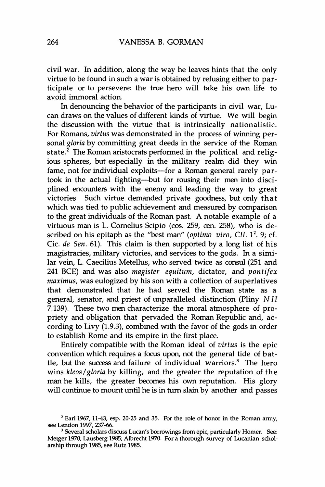**civil war. In addition, along the way he leaves hints that the only virtue to be found in such a war is obtained by refusing either to participate or to persevere: the true hero will take his own life to avoid immoral action.** 

**In denouncing the behavior of the participants in civil war, Lucan draws on the values of different kinds of virtue. We will begin the discussion with the virtue that is intrinsically nationalistic. For Romans, virtus was demonstrated in the process of winning personal gloria by committing great deeds in the service of the Roman state.2 The Roman aristocrats performed in the political and religious spheres, but especially in the military realm did they win**  fame, not for individual exploits-for a Roman general rarely par**took in the actual fighting-but for rousing their men into disciplined encounters with the enemy and leading the way to great victories. Such virtue demanded private goodness, but only that which was tied to public achievement and measured by comparison to the great individuals of the Roman past. A notable example of a virtuous man is L. Cornelius Scipio (cos. 259, cen. 258), who is described on his epitaph as the "best man" (optimo viro, CIL 12. 9; cf. Cic. de Sen. 61). This claim is then supported by a long list of his magistracies, military victories, and services to the gods. In a similar vein, L. Caecilius Metellus, who served twice as consul (251 and 241 BCE) and was also magister equitum, dictator, and pontifex maximus, was eulogized by his son with a collection of superlatives that demonstrated that he had served the Roman state as a general, senator, and priest of unparalleled distinction (Pliny N H 7.139). These two men characterize the moral atmosphere of propriety and obligation that pervaded the Roman Republic and, according to Livy (1.9.3), combined with the favor of the gods in order to establish Rome and its empire in the first place.** 

**Entirely compatible with the Roman ideal of virtus is the epic convention which requires a focus upon, not the general tide of battle, but the success and failure of individual warriors.3 The hero wins kleos/gloria by killing, and the greater the reputation of the man he kills, the greater becomes his own reputation. His glory will continue to mount until he is in turn slain by another and passes** 

**<sup>2</sup>Earl 1967,11-43, esp. 20-25 and 35. For the role of honor in the Roman army, see Lendon 1997, 237-66.** 

**<sup>3</sup> Several scholars discuss Lucan's borrowings from epic, particularly Homer. See: Metger 1970; Lausberg 1985; Albrecht 1970. For a thorough survey of Lucanian scholarship through 1985, see Rutz 1985.**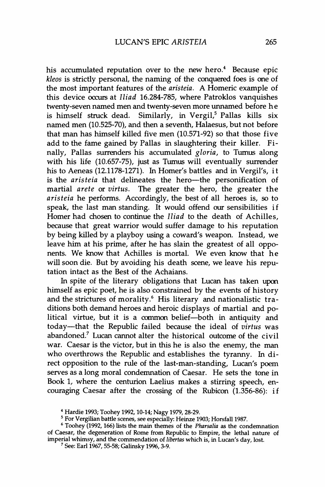**his accumulated reputation over to the new hero.4 Because epic kleos is strictly personal, the naming of the conquered foes is one of the most important features of the aristeia. A Homeric example of this device occurs at Iliad 16.284-785, where Patroklos vanquishes twenty-seven named men and twenty-seven more unnamed before he is himself struck dead. Similarly, in Vergil,5 Pallas kills six named men (10.525-70), and then a seventh, Halaesus, but not before that man has himself killed five men (10.571-92) so that those five add to the fame gained by Pallas in slaughtering their killer. Finally, Pallas surrenders his accumulated gloria, to Tumus along with his life (10.657-75), just as Tumus will eventually surrender his to Aeneas (12.1178-1271). In Homer's battles and in Vergil's, it**  is the aristeia that delineates the hero-the personification of **martial arete or virtus. The greater the hero, the greater the aristeia he performs. Accordingly, the best of all heroes is, so to speak, the last man standing. It would offend our sensibilities if Homer had chosen to continue the Iliad to the death of Achilles, because that great warrior would suffer damage to his reputation by being killed by a playboy using a coward's weapon. Instead, we leave him at his prime, after he has slain the greatest of all opponents. We know that Achilles is mortal. We even know that he will soon die. But by avoiding his death scene, we leave his reputation intact as the Best of the Achaians.** 

**In spite of the literary obligations that Lucan has taken upon himself as epic poet, he is also constrained by the events of history and the strictures of morality.6 His literary and nationalistic traditions both demand heroes and heroic displays of martial and political virtue, but it is a common belief-both in antiquity and today-that the Republic failed because the ideal of virtus was abandoned.7 Lucan cannot alter the historical outcome of the civil war. Caesar is the victor, but in this he is also the enemy, the man who overthrows the Republic and establishes the tyranny. In direct opposition to the rule of the last-man-standing, Lucan's poem serves as a long moral condemnation of Caesar. He sets the tone in Book 1, where the centurion Laelius makes a stirring speech, encouraging Caesar after the crossing of the Rubicon (1.356-86): if** 

**<sup>4</sup>Hardie 1993; Toohey 1992, 10-14; Nagy 1979, 28-29.** 

**<sup>5</sup> For Vergilian battle scenes, see especially: Heinze 1903; Horsfall 1987.** 

**<sup>6</sup>Toohey (1992, 166) lists the main themes of the Pharsalia as the condemnation of Caesar, the degeneration of Rome from Republic to Empire, the lethal nature of imperial whimsy, and the commendation of libertas which is, in Lucan's day, lost.** 

**<sup>7</sup> See: Earl 1967, 55-58; Galinsky 1996, 3-9.**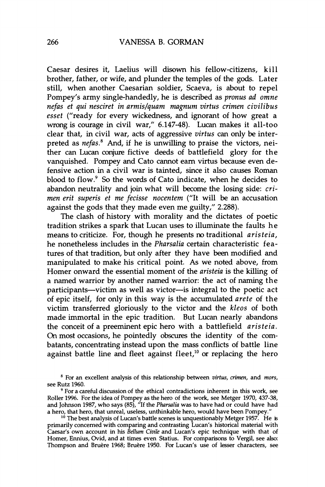**Caesar desires it, Laelius will disown his fellow-citizens, kill brother, father, or wife, and plunder the temples of the gods. Later still, when another Caesarian soldier, Scaeva, is about to repel Pompey's army single-handedly, he is described as pronus ad omne nefas et qui nesciret in armis/quam magnum virtus crimen civilibus esset ("ready for every wickedness, and ignorant of how great a wrong is courage in civil war," 6.147-48). Lucan makes it all-too clear that, in civil war, acts of aggressive virtus can only be interpreted as nefas.8 And, if he is unwilling to praise the victors, neither can Lucan conjure fictive deeds of battlefield glory for the vanquished. Pompey and Cato cannot earn virtus because even defensive action in a civil war is tainted, since it also causes Roman blood to flow.9 So the words of Cato indicate, when he decides to abandon neutrality and join what will become the losing side: crimen erit superis et me fecisse nocentem ("It will be an accusation against the gods that they made even me guilty," 2.288).** 

**The clash of history with morality and the dictates of poetic tradition strikes a spark that Lucan uses to illuminate the faults he means to criticize. For, though he presents no traditional aristeia, he nonetheless includes in the Pharsalia certain characteristic features of that tradition, but only after they have been modified and manipulated to make his critical point. As we noted above, from Homer onward the essential moment of the aristeia is the killing of a named warrior by another named warrior: the act of naming the**  participants—victim as well as victor—is integral to the poetic act **of epic itself, for only in this way is the accumulated arete of the victim transferred gloriously to the victor and the kleos of both made immortal in the epic tradition. But Lucan nearly abandons the conceit of a preeminent epic hero with a battlefield aristeia. On most occasions, he pointedly obscures the identity of the combatants, concentrating instead upon the mass conflicts of battle line**  against battle line and fleet against fleet,<sup>10</sup> or replacing the hero

**<sup>8</sup>For an excellent analysis of this relationship between virtus, crimen, and mors, see Rutz 1960.** 

**<sup>9</sup>For a careful discussion of the ethical contradictions inherent in this work, see Roller 1996. For the idea of Pompey as the hero of the work, see Metger 1970, 437-38,**  and Johnson 1987, who says (85), "If the *Pharsalia* was to have had or could have had a hero, that hero, that unreal, useless, unthinkable hero, would have been Pompey."

<sup>&</sup>lt;sup>10</sup> The best analysis of Lucan's battle scenes is unquestionably Metger 1957. He is **primarily concerned with comparing and contrasting Lucan's historical material with**  Caesar's own account in his Bellum Civile and Lucan's epic technique with that of **Homer, Ennius, Ovid, and at times even Statius. For comparisons to Vergil, see also: Thompson and Bruere 1968; Bruere 1950. For Lucan's use of lesser characters, see**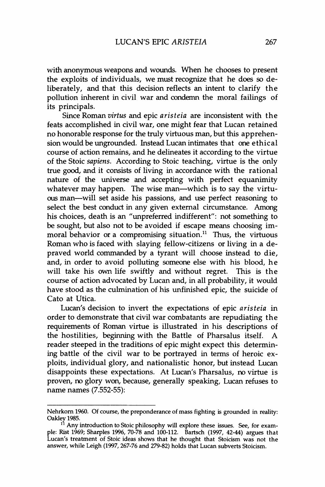**with anonymous weapons and wounds. When he chooses to present the exploits of individuals, we must recognize that he does so deliberately, and that this decision reflects an intent to clarify the pollution inherent in civil war and condemn the moral failings of its principals.** 

**Since Roman virtus and epic aristeia are inconsistent with the feats accomplished in civil war, one might fear that Lucan retained no honorable response for the truly virtuous man, but this apprehension would be ungrounded. Instead Lucan intimates that one ethical course of action remains, and he delineates it according to the virtue of the Stoic sapiens. According to Stoic teaching, virtue is the only true good, and it consists of living in accordance with the rational nature of the universe and accepting with perfect equanimity**  whatever may happen. The wise man—which is to say the virtu**ous man-will set aside his passions, and use perfect reasoning to select the best conduct in any given external circumstance. Among his choices, death is an "unpreferred indifferent": not something to be sought, but also not to be avoided if escape means choosing immoral behavior or a compromising situation." Thus, the virtuous Roman who is faced with slaying fellow-citizens or living in a depraved world commanded by a tyrant will choose instead to die, and, in order to avoid polluting someone else with his blood, he will take his own life swiftly and without regret. This is the course of action advocated by Lucan and, in all probability, it would have stood as the culmination of his unfinished epic, the suicide of Cato at Utica.** 

**Lucan's decision to invert the expectations of epic aristeia in order to demonstrate that civil war combatants are repudiating the requirements of Roman virtue is illustrated in his descriptions of the hostilities, beginning with the Battle of Pharsalus itself. A reader steeped in the traditions of epic might expect this determining battle of the civil war to be portrayed in terms of heroic exploits, individual glory, and nationalistic honor, but instead Lucan disappoints these expectations. At Lucan's Pharsalus, no virtue is proven, no glory won, because, generally speaking, Lucan refuses to name names (7.552-55):** 

Nehrkorn 1960. Of course, the preponderance of mass fighting is grounded in reality: **Oakley 1985.** 

<sup>&</sup>lt;sup>11</sup> Any introduction to Stoic philosophy will explore these issues. See, for exam**ple: Rist 1969; Sharples 1996, 70-78 and 100-112. Bartsch (1997, 42-44) argues that Lucan's treatment of Stoic ideas shows that he thought that Stoicism was not the answer, while Leigh (1997, 267-76 and 279-82) holds that Lucan subverts Stoicism.**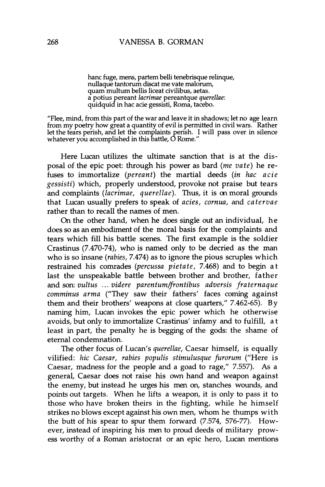**hanc fuge, mens, partem belli tenebrisque relinque, nullaque tantorum discat me vate malorum, quam multum bellis liceat civilibus, aetas. a potius pereant lacrimae pereantque querellae: quidquid in hac acie gessisti, Roma, tacebo.** 

**"Flee, mind, from this part of the war and leave it in shadows; let no age learn**  from my poetry how great a quantity of evil is permitted in civil wars. Rather **let the tears perish, and let the complaints perish. I will pass over in silence whatever you accomplished in this battle, ORome."** 

**Here Lucan utilizes the ultimate sanction that is at the disposal of the epic poet: through his power as bard (me vate) he refuses to immortalize (pereant) the martial deeds (in hac acie gessisti) which, properly understood, provoke not praise but tears and complaints (lacrimae, querellae). Thus, it is on moral grounds that Lucan usually prefers to speak of acies, cornua, and catervae rather than to recall the names of men.** 

**On the other hand, when he does single out an individual, he does so as an embodiment of the moral basis for the complaints and tears which fill his battle scenes. The first example is the soldier Crastinus (7.470-74), who is named only to be decried as the man who is so insane (rabies, 7.474) as to ignore the pious scruples which restrained his comrades (percussa pietate, 7.468) and to begin at last the unspeakable battle between brother and brother, father and son: vultus ... videre parentum/frontibus adversis fraternaque comminus arma ("They saw their fathers' faces coming against them and their brothers' weapons at close quarters," 7.462-65). By naming him, Lucan invokes the epic power which he otherwise avoids, but only to immortalize Crastinus' infamy and to fulfill, a t least in part, the penalty he is begging of the gods: the shame of eternal condemnation.** 

**The other focus of Lucan's querellae, Caesar himself, is equally vilified: hic Caesar, rabies populis stimulusque furorum ("Here is Caesar, madness for the people and a goad to rage," 7.557). As a general, Caesar does not raise his own hand and weapon against the enemy, but instead he urges his men on, stanches wounds, and points out targets. When he lifts a weapon, it is only to pass it to those who have broken theirs in the fighting, while he himself strikes no blows except against his own men, whom he thumps with the butt of his spear to spur them forward (7.574, 576-77). However, instead of inspiring his men to proud deeds of military prowess worthy of a Roman aristocrat or an epic hero, Lucan mentions**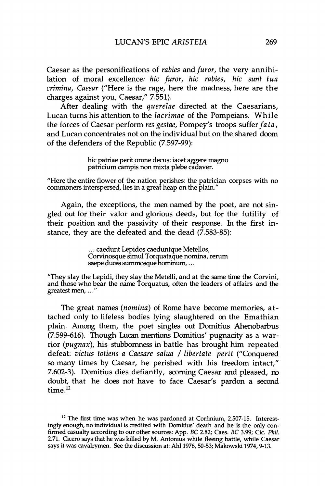Caesar as the personifications of *rabies* and *furor*, the very annihi**lation of moral excellence: hic furor, hic rabies, hic sunt tua crimina, Caesar ("Here is the rage, here the madness, here are the charges against you, Caesar," 7.551).** 

**After dealing with the querelae directed at the Caesarians, Lucan turns his attention to the lacrimae of the Pompeians. While the forces of Caesar perform res gestae, Pompey's troops suffer fa ta, and Lucan concentrates not on the individual but on the shared doom of the defenders of the Republic (7.597-99):** 

> **hic patriae perit omne decus: iacet aggere magno patricium campis non mixta plebe cadaver.**

**"Here the entire flower of the nation perishes: the patrician corpses with no commoners interspersed, lies in a great heap on the plain."** 

**Again, the exceptions, the men named by the poet, are not singled out for their valor and glorious deeds, but for the futility of their position and the passivity of their response. In the first instance, they are the defeated and the dead (7.583-85):** 

> **... caedunt Lepidos caeduntque Metellos, Corvinosque simul Torquataque nomina, rerum saepe duces summosque hominum, ...**

**"They slay the Lepidi, they slay the Metelli, and at the same time the Corvini, and those who bear the name Torquatus, often the leaders of affairs and the greatest men, ..."** 

**The great names (nomina) of Rome have become memories, attached only to lifeless bodies lying slaughtered on the Emathian plain. Among them, the poet singles out Domitius Ahenobarbus (7.599-616). Though Lucan mentions Domitius' pugnacity as a warrior (pugnax), his stubbornness in battle has brought him repeated defeat: victus totiens a Caesare salua / libertate perit ("Conquered so many times by Caesar, he perished with his freedom intact," 7.602-3). Domitius dies defiantly, scorning Caesar and pleased, no doubt, that he does not have to face Caesar's pardon a second time.12** 

**<sup>12</sup>The first time was when he was pardoned at Corfinium, 2.507-15. Interestingly enough, no individual is credited with Domitius' death and he is the only confirmed casualty according to our other sources: App. BC 2.82; Caes. BC 3.99; Cic. Phil. 2.71. Cicero says that he was killed by M. Antonius while fleeing battle, while Caesar says it was cavalrymen. See the discussion at: Ahl 1976, 50-53; Makowski 1974, 9-13.**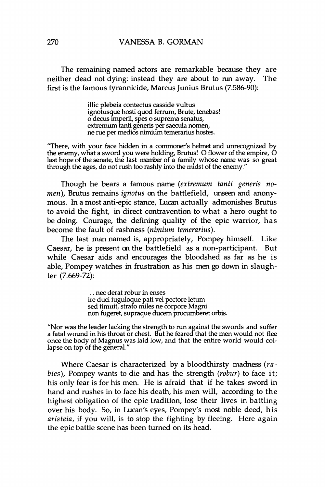**The remaining named actors are remarkable because they are neither dead not dying: instead they are about to run away. The first is the famous tyrannicide, Marcus Junius Brutus (7.586-90):** 

> **illic plebeia contectus casside vultus ignotusque hosti quod ferrum, Brute, tenebas! o decus imperii, spes o suprema senatus, extremum tanti generis per saecula nomen, ne rue per medios nimium temerarius hostes.**

**"There, with your face hidden in a commoner's helmet and unrecognized by the enemy, what a sword you were holding, Brutus! O flower of the empire, O last hope of the senate, the last merber of a family whose name was so great through the ages, do not rush too rashly into the midst of the enemy."** 

**Though he bears a famous name (extremum tanti generis no**men), Brutus remains *ignotus* on the battlefield, unseen and anony**mous. In a most anti-epic stance, Lucan actually admonishes Brutus to avoid the fight, in direct contravention to what a hero ought to be doing. Courage, the defining quality of the epic warrior, has become the fault of rashness (nimium temerarius).** 

**The last man named is, appropriately, Pompey himself. Like Caesar, he is present en the battlefield as a non-participant. But while Caesar aids and encourages the bloodshed as far as he is able, Pompey watches in frustration as his men go down in slaughter (7.669-72):** 

> **.. nec derat robur in enses ire duci iuguloque pati vel pectore letum sed timuit, strato miles ne corpore Magni non fugeret, supraque ducem procumberet orbis.**

**"Nor was the leader lacking the strength to run against the swords and suffer a fatal wound in his throat or chest. But he feared that the men would not flee once the body of Magnus was laid low, and that the entire world would collapse on top of the general."** 

**Where Caesar is characterized by a bloodthirsty madness (rabies), Pompey wants to die and has the strength (robur) to face it; his only fear is for his men. He is afraid that if he takes sword in hand and rushes in to face his death, his men will, according to the highest obligation of the epic tradition, lose their lives in battling over his body. So, in Lucan's eyes, Pompey's most noble deed, his aristeia, if you will, is to stop the fighting by fleeing. Here again the epic battle scene has been turned on its head.**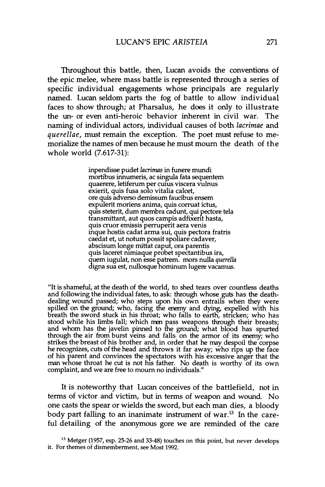**Throughout this battle, then, Lucan avoids the conventions of the epic melee, where mass battle is represented through a series of specific individual engagements whose principals are regularly named. Lucan seldom parts the fog of battle to allow individual faces to show through; at Pharsalus, he does it only to illustrate the un- or even anti-heroic behavior inherent in civil war. The naming of individual actors, individual causes of both lacrimae and querellae, must remain the exception. The poet must refuse to memorialize the names of men because he must mourn the death of the whole world (7.617-31):** 

> **inpendisse pudet lacrimas in funere mundi mortibus innumeris, ac singula fata sequentem quaerere, letiferum per cuius viscera vulnus exierit, quis fusa solo vitalia calcet, ore quis adverso demissum faucibus ensem expulerit moriens anima, quis corruat ictus, quis steterit, dum membra cadunt, qui pectore tela transmittant, aut quos campis adfixent hasta, quis cruor emissis perruperit aera venis inque hostis cadat arma sui, quis pectora fratris caedat et, ut notum possit spoliare cadaver, abscisum longe mittat caput, ora parentis quis laceret nimiaque probet spectantibus ira, quem iugulat, non esse patrem. mors nulla querella igna sua est, nullosquehominum lugere vacamus.**

**"It is shameful, at the death of the world, to shed tears over countless deaths and following the individual fates, to ask: through whose guts has the deathdealing wound passed; who steps upon his own entrails when they were spilled on the ground; who, facing the enemy and dying, expelled with his breath the sword stuck in his throat; who falls to earth, stricken; who has stood while his limbs fall; which men pass weapons through their breasts; and whom has the javelin pinned to the ground; what blood has spurted through the air from burst veins and falls on the armor of its enemy; who strikes the breast of his brother and, in order that he may despoil the corpse he recognizes, cuts of the head and throws it far away; who rips up the face of his parent and convinces the spectators with his excessive anger that the man whose throat he cut is not his father. No death is worthy of its own complaint, and we are free to mourn no individuals."** 

**It is noteworthy that Lucan conceives of the battlefield, not in terms of victor and victim, but in terms of weapon and wound. No one casts the spear or wields the sword, but each man dies, a bloody body part falling to an inanimate instrument of war.'3 In the careful detailing of the anonymous gore we are reminded of the care** 

**<sup>13</sup>Metger (1957, esp. 25-26 and 33-48) touches on this point, but never develops it. For themes of dismemberment, see Most 1992.**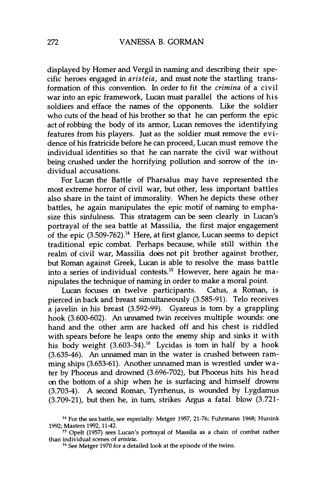**displayed by Homer and Vergil in naming and describing their specific heroes engaged in aristeia, and must note the startling transformation of this convention. In order to fit the crimina of a civil war into an epic framework, Lucan must parallel the actions of his soldiers and efface the names of the opponents. Like the soldier who cuts of the head of his brother so that he can perform the epic act of robbing the body of its armor, Lucan removes the identifying features from his players. Just as the soldier must remove the evidence of his fratricide before he can proceed, Lucan must remove the individual identities so that he can narrate the civil war without being crushed under the horrifying pollution and sorrow of the individual accusations.** 

**For Lucan the Battle of Pharsalus may have represented the most extreme horror of civil war, but other, less important battles also share in the taint of immorality. When he depicts these other battles, he again manipulates the epic motif of naming to emphasize this sinfulness. This stratagem can be seen clearly in Lucan's portrayal of the sea battle at Massilia, the first major engagement of the epic (3.509-762).14 Here, at first glance, Lucan seems to depict traditional epic combat. Perhaps because, while still within the realm of civil war, Massilia does not pit brother against brother, but Roman against Greek, Lucan is able to resolve the mass battle into a series of individual contests.'5 However, here again he manipulates the technique of naming in order to make a moral point.** 

Lucan focuses on twelve participants. **pierced in back and breast simultaneously (3.585-91). Telo receives a javelin in his breast (3.592-99). Gyareus is tor by a grappling hook (3.600-602). An unnamed twin receives multiple wounds: one hand and the other arm are hacked off and his chest is riddled with spears before he leaps onto the enemy ship and sinks it with**  his body weight (3.603-34).<sup>16</sup> Lycidas is torn in half by a hook **(3.635-46). An unnamed man in the water is crushed between ramming ships (3.653-61). Another unnamed man is wrestled under water by Phoceus and drowned (3.696-702), but Phoceus hits his head on the bottom of a ship when he is surfacing and himself drowns (3.703-4). A second Roman, Tyrrhenus, is wounded by Lygdamus (3.709-21), but then he, in tur, strikes Argus a fatal blow (3.721-** 

**<sup>14</sup>For the sea battle, see especially: Metger 1957, 21-76; Fuhrmann 1968; Hunink 1992; Masters 1992, 11-42.** 

**<sup>15</sup>Opelt (1957) sees Lucan's portrayal of Massilia as a chain of combat rather than individual scenes of aristeia.** 

**<sup>16</sup>See Metger 1970 for a detailed look at the episode of the twins.**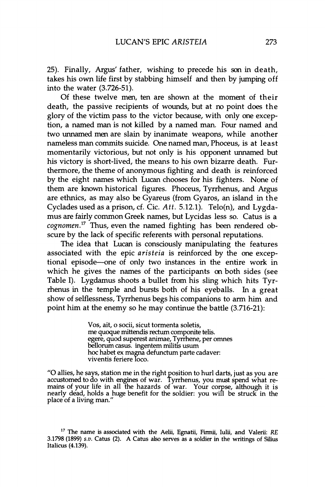**25). Finally, Argus' father, wishing to precede his son in death, takes his own life first by stabbing himself and then by jumping off into the water (3.726-51).** 

**Of these twelve men, ten are shown at the moment of their death, the passive recipients of wounds, but at no point does the glory of the victim pass to the victor because, with only one exception, a named man is not killed by a named man. Four named and two unnamed men are slain by inanimate weapons, while another nameless man commits suicide. One named man, Phoceus, is at least momentarily victorious, but not only is his opponent unnamed but his victory is short-lived, the means to his own bizarre death. Furthermore, the theme of anonymous fighting and death is reinforced by the eight names which Lucan chooses for his fighters. None of them are known historical figures. Phoceus, Tyrrhenus, and Argus are ethnics, as may also be Gyareus (from Gyaros, an island in the Cyclades used as a prison, cf. Cic. Att. 5.12.1). Telo(n), and Lygdamus are fairly common Greek names, but Lycidas less so. Catus is a cognomen.l7 Thus, even the named fighting has been rendered obscure by the lack of specific referents with personal reputations.** 

**The idea that Lucan is consciously manipulating the features associated with the epic aristeia is reinforced by the one exceptional episode-one of only two instances in the entire work in which he gives the names of the participants on both sides (see Table I). Lygdamus shoots a bullet from his sling which hits Tyrrhenus in the temple and bursts both of his eyeballs. In a great show of selflessness, Tyrrhenus begs his companions to arm him and point him at the enemy so he may continue the battle (3.716-21):** 

> **Vos, ait, o socii, sicut tormenta soletis, me quoque mittendis rectum componite telis. egere, quod superest animae, Tyrrhene, per omnes bellorum casus. ingentem militis usum hoc habet ex magna defunctum parte cadaver: viventis feriere loco.**

**"O allies, he says, station me in the right osition to hurl darts, just as you are accustomed to do with engines of war. Tyrrhenus, you must spend what remains of your life in all the hazards of war. Your corpse, although it is nearly dead, holds a huge benefit for the soldier: you will be struck in the place of a living man."** 

**<sup>17</sup>The name is associated with the Aelii, Egnatii, Firmii, Iulii, and Valerii: RE 3.1798 (1899) s.v. Catus (2). A Catus also serves as a soldier in the writings of Silius Italicus (4.139).**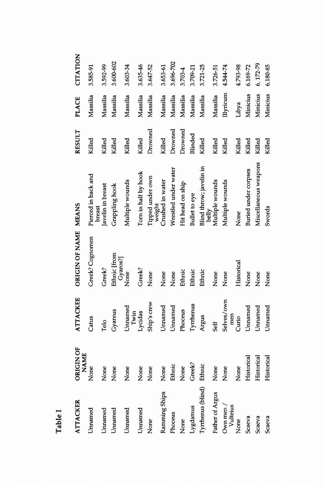| Table I               |                          |                   |                          |                                  |               |              |                 |
|-----------------------|--------------------------|-------------------|--------------------------|----------------------------------|---------------|--------------|-----------------|
| <b>ATTACKER</b>       | ORIGIN OF<br><b>NAME</b> | <b>ATTACKEE</b>   | ORIGIN OF NAME MEANS     |                                  | <b>RESULT</b> | <b>PLACE</b> | <b>CITATION</b> |
| Unnamed               | None                     | Catus             | Greek? Cognomen          | Pierced in back and<br>breast    | Killed        | Massilia     | 3.585-91        |
| Umamed                | None                     | Telo              | Greek?                   | Javelin in breast                | Killed        | Massilia     | 3.592-99        |
| Unnamed               | None                     | Gyareus           | Ethnic [from<br>Gyaros?] | Grappling hook                   | Killed        | Massilia     | 3.600-602       |
| Umamed                | None                     | Unnamed<br>Twin   | None                     | Multiple wounds                  | Killed        | Massilia     | 3.603-34        |
| Unnamed               | None                     | Lycidas           | Greek?                   | Torn in half by hook             | Killed        | Massilia     | 3.635-46        |
| None                  | None                     | Ship's crew       | None                     | Tipped under own<br>weight       | Drowned       | Massilia     | 3.647-52        |
| Ramming Ships         | None                     | Unnamed           | None                     | Crushed in water                 | Killed        | Massilia     | 3.653-61        |
| Phoceus               | Ethnic                   | Unnamed           | None                     | Wrestled under water             | Drowned       | Massilia     | 3.696-702       |
| None                  | None                     | Phoceus           | Ethnic                   | Hit head on ship                 | Drowned       | Massilia     | 3.703-4         |
| Lygdamus              | Greek?                   | Tyrrhenus         | <b>Ethnic</b>            | Bullet to eye                    | Blinded       | Massilia     | 3.709-21        |
| Tyrrhenus (blind)     | Ethnic                   | Argus             | <b>Ethnic</b>            | Blind throw; javelin in<br>belly | Killed        | Massilia     | 3.721-25        |
| Father of Argus       | None                     | Self              | None                     | Multiple wounds                  | Killed        | Massilia     | 3.726-51        |
| Own men /<br>Vulteius | None                     | Selves/own<br>men | None                     | Multiple wounds                  | Killed        | Illyricum    | 4.544.74        |
| None                  | None                     | Curio             | Historical               | None                             | Killed        | Libya        | 4.793-98        |
| Scaeva                | Historical               | Unnamed           | None                     | <b>Buried under corpses</b>      | Killed        | Minicius     | 6.169-72        |
| Scaeva                | Historical               | Umamed            | None                     | Miscellaneous weapons            | Killed        | Minicius     | 6.172-79        |
| Scaeva                | Historical               | Unnamed           | None                     | Swords                           | Killed        | Minicius     | 6.180-85        |
|                       |                          |                   |                          |                                  |               |              |                 |
|                       |                          |                   |                          |                                  |               |              |                 |
|                       |                          |                   |                          |                                  |               |              |                 |
|                       |                          |                   |                          |                                  |               |              |                 |

Table I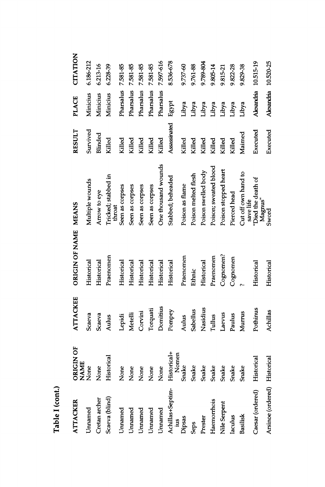| г           |
|-------------|
|             |
| Ľ.          |
|             |
|             |
|             |
| −           |
|             |
|             |
| ω           |
|             |
|             |
|             |
| ш           |
|             |
| ś<br>t<br>ŧ |
|             |
|             |
|             |
|             |

| <b>ATTACKER</b>              | <b>ORIGIN OF</b><br><b>NAME</b> | <b>ATTACKEE</b> | ORIGIN OF NAME MEANS |                                            | <b>RESULT</b> | <b>PLACE</b>         | <b>CITATION</b> |
|------------------------------|---------------------------------|-----------------|----------------------|--------------------------------------------|---------------|----------------------|-----------------|
| Unnamed                      | None                            | Scaeva          | Historical           | Multiple wounds                            | Survived      | Minicius             | 6.186-212       |
| Cretan archer                | None                            | Scaeva          | Historical           | Arrow to eye                               | Blinded       | Minicius             | 6.213-16        |
| Scaeva (blind)               | Historical                      | Aulus           | Praenomen            | Tricked; stabbed in<br>throat              | Killed        | Minicius             | 6.228-39        |
| Unnamed                      | None                            | Lepidi          | Historical           | Seen as corpses                            | Killed        | Pharsalus            | 7.581-85        |
| Unnamed                      | None                            | <b>Metelli</b>  | Historical           | Seen as corpses                            | Killed        | Pharsalus            | 7.581-85        |
| Unnamed                      | None                            | Corvini         | Historical           | Seen as corpses                            | Killed        | Pharsalus            | 7.581-85        |
| Unnamed                      | None                            | Torquati        | Historical           | Seen as corpses                            | Killed        | Pharsalus            | 7.581-85        |
| Umamed                       | None                            | Domitius        | Historical           | One thousand wounds                        | Killed        | Pharsalus            | 7.597-616       |
| Achillas+Septim-<br>nus      | Historical+<br>Nomen            | Pompey          | Historical           | Stabbed; beheaded                          | Assassmated   | Egypt                | 8.536-678       |
| Dipsas                       | Snake                           | Aulus           | Praenomen            | Poison as flame                            | Killed        | Libya                | 9.737-60        |
| Seps                         | Snake                           | Sabellus        | Ethnic               | Poison melted flesh                        | Killed        | Libya                | 9.761-88        |
| Prester                      | Snake                           | Nasidius        | Historical           | Poison swelled body                        | Killed        | Libya                | 9.789-804       |
| Haemorrhois                  | Snake                           | Tullus          | Praenomen            | Poison; sweated blood                      | Killed        | Libya                | 9.805-14        |
| Nile Serpent                 | Snake                           | Laevus          | Cognomen?            | Poison stopped heart                       | Killed        | Libya                | 9.815-21        |
| laculus                      | Snake                           | Paulus          | Cognomen             | Pierced head                               | Killed        | Libya                | 9.822-28        |
| <b>Basilisk</b>              | Snake                           | Murrus          |                      | Cut off own hand to                        | Maimed        | Libya                | 9.829-38        |
| Caesar (ordered)             | Historical                      | Pothinus        | Historical           | "Died the death of<br>Magnus"<br>save life | Executed      | Alexandria 10.515-19 |                 |
| Arsinoe (ordered) Historical |                                 | Achillas        | Historical           | Sword                                      | Executed      | Alexandria 10.520-25 |                 |
|                              |                                 |                 |                      |                                            |               |                      |                 |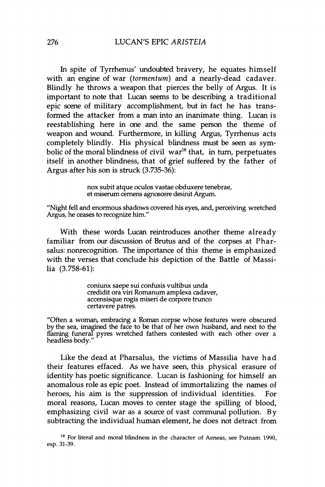**In spite of Tyrrhenus' undoubted bravery, he equates himself with an engine of war (tormentum) and a nearly-dead cadaver. Blindly he throws a weapon that pierces the belly of Argus. It is important to note that Lucan seems to be describing a traditional epic scene of military accomplishment, but in fact he has transformed the attacker from a man into an inanimate thing. Lucan is reestablishing here in one and the same person the theme of weapon and wound. Furthermore, in killing Argus, Tyrrhenus acts completely blindly. His physical blindness must be seen as symbolic of the moral blindness of civil war'8 that, in turn, perpetuates itself in another blindness, that of grief suffered by the father of Argus after his son is struck (3.735-36):** 

> **nox subit atque oculos vastae obduxere tenebrae,**  et miserum cernens agnoscere desinit Argum.

**"Night fell and enormous shadows covered his eyes, and, perceiving wretched Argus, he ceases to recognize him."** 

**With these words Lucan reintroduces another theme already familiar from our discussion of Brutus and of the corpses at Pharsalus: nonrecognition. The importance of this theme is emphasized with the verses that conclude his depiction of the Battle of Massilia (3.758-61):** 

> **coniunx saepe sui confusis vultibus unda credidit ora viri Romanum amplexa cadaver, accensisque rogis miseri de corpore trunco certavere patres.**

**"Often a woman, embracing a Roman corpse whose features were obscured by the sea, imagined the face to be that of her own husband, and next to the**  flaming funeral pyres wretched fathers contested with each other over a **headless body."** 

**Like the dead at Pharsalus, the victims of Massilia have had their features effaced. As we have seen, this physical erasure of identity has poetic significance. Lucan is fashioning for himself an anomalous role as epic poet. Instead of immortalizing the names of**  heroes, his aim is the suppression of individual identities. **moral reasons, Lucan moves to center stage the spilling of blood, emphasizing civil war as a source of vast communal pollution. By subtracting the individual human element, he does not detract from** 

**<sup>18</sup>For literal and moral blindness in the character of Aeneas, see Putnam 1990, esp. 31-39.**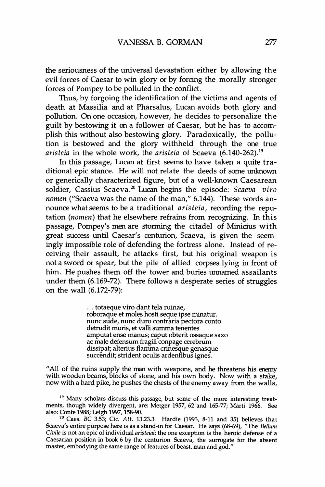**the seriousness of the universal devastation either by allowing the evil forces of Caesar to win glory or by forcing the morally stronger forces of Pompey to be polluted in the conflict.** 

**Thus, by forgoing the identification of the victims and agents of death at Massilia and at Pharsalus, Lucan avoids both glory and pollution. On one occasion, however, he decides to personalize the guilt by bestowing it on a follower of Caesar, but he has to accomplish this without also bestowing glory. Paradoxically, the pollution is bestowed and the glory withheld through the one true aristeia in the whole work, the aristeia of Scaeva (6.140-262).19** 

**In this passage, Lucan at first seems to have taken a quite traditional epic stance. He will not relate the deeds of some unknown or generically characterized figure, but of a well-known Caesarean soldier, Cassius Scaeva.20 Lucan begins the episode: Scaeva viro nomen ("Scaeva was the name of the man," 6.144). These words announce what seems to be a traditional aristeia, recording the reputation (nomen) that he elsewhere refrains from recognizing. In this passage, Pompey's men are storming the citadel of Minicius with great success until Caesar's centurion, Scaeva, is given the seemingly impossible role of defending the fortress alone. Instead of receiving their assault, he attacks first, but his original weapon is not a sword or spear, but the pile of allied corpses lying in front of him. He pushes them off the tower and buries unnamed assailants under them (6.169-72). There follows a desperate series of struggles on the wall (6.172-79):** 

> **... totaeque viro dant tela ruinae, roboraque et moles hosti seque ipse minatur. nunc sude, nunc duro contraria pectora conto detrudit muris, et valli summa tenentes amputat ense manus; caput obterit ossaque saxo ac male defensum fragili conpage cerebrum dissipat; alterius flamma crinesque genasque succendit; strident oculis ardentibus ignes.**

**"All of the ruins supply the man with weapons, and he threatens his enemy with wooden beams, blocks of stone, and his own body. Now with a stake, now with a hard pike, he pushes the chests of the enemy away from the walls,** 

**19 Many scholars discuss this passage, but some of the more interesting treatments, though widely divergent, are: Metger 1957, 62 and 165-77; Marti 1966. See also: Conte 1988; Leigh 1997, 158-90.** 

**<sup>20</sup>Caes. BC 3.53; Cic. Att. 13.23.3. Hardie (1993, 8-11 and 35) believes that Scaeva's entire purpose here is as a stand-in for Caesar. He says (68-69), "The Bellum Civile is not an epic of individual aristeiai; the one exception is the heroic defense of a Caesarian position in book 6 by the centurion Scaeva, the surrogate for the absent master, embodying the same range of features of beast, man and god."**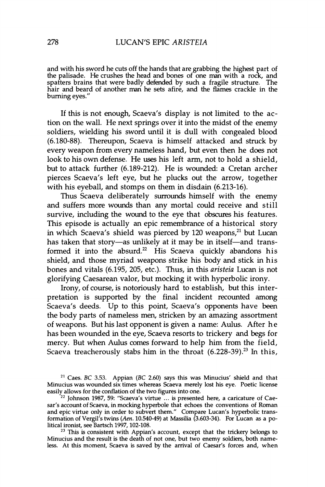**and with his sword he cuts off the hands that are grabbing the highest part of the palisade. He crushes the head and bones of one man with a rock, and spatters brains that were badly defended by such a fragile structure. The hair and beard of another man he sets afire, and the flames crackle in the burning eyes."** 

**If this is not enough, Scaeva's display is not limited to the action on the wall. He next springs over it into the midst of the enemy soldiers, wielding his sword until it is dull with congealed blood (6.180-88). Thereupon, Scaeva is himself attacked and struck by every weapon from every nameless hand, but even then he does not look to his own defense. He uses his left arm, not to hold a shield, but to attack further (6.189-212). He is wounded: a Cretan archer pierces Scaeva's left eye, but he plucks out the arrow, together with his eyeball, and stomps on them in disdain (6.213-16).** 

**Thus Scaeva deliberately surrounds himself with the enemy and suffers more wounds than any mortal could receive and still survive, including the wound to the eye that obscures his features. This episode is actually an epic remembrance of a historical story**  in which Scaeva's shield was pierced by 120 weapons,<sup>21</sup> but Lucan has taken that story-as unlikely at it may be in itself-and trans**formed it into the absurd.22 His Scaeva quickly abandons his shield, and those myriad weapons strike his body and stick in his bones and vitals (6.195, 205, etc.). Thus, in this aristeia Lucan is not glorifying Caesarean valor, but mocking it with hyperbolic irony.** 

**Irony, of course, is notoriously hard to establish, but this interpretation is supported by the final incident recounted among Scaeva's deeds. Up to this point, Scaeva's opponents have been the body parts of nameless men, stricken by an amazing assortment of weapons. But his last opponent is given a name: Aulus. After h e has been wounded in the eye, Scaeva resorts to trickery and begs for mercy. But when Aulus comes forward to help him from the field,**  Scaeva treacherously stabs him in the throat (6.228-39).<sup>23</sup> In this,

**<sup>23</sup>This is consistent with Appian's account, except that the trickery belongs to Minucius and the result is the death of not one, but two enemy soldiers, both nameless. At this moment, Scaeva is saved by the arrival of Caesar's forces and, when** 

**<sup>21</sup>Caes. BC 3.53. Appian (BC 2.60) says this was Minucius' shield and that Minucius was wounded six times whereas Scaeva merely lost his eye. Poetic license easily allows for the conflation of the two figures into one.** 

**<sup>22</sup> Johnson 1987, 59: "Scaeva's virtue ... is presented here, a caricature of Caesar's account of Scaeva, in mocking hyperbole that echoes the conventions of Roman and epic virtue only in order to subvert them." Compare Lucan's hyperbolic transformation of Vergil's twins (Aen. 10.540-49) at Massilia (3.603-34). For Lucan as a political ironist, see Bartsch 1997, 102-108.**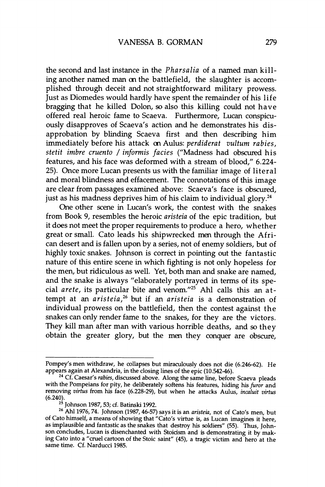**the second and last instance in the Pharsalia of a named man killing another named man cn the battlefield, the slaughter is accomplished through deceit and not straightforward military prowess. Just as Diomedes would hardly have spent the remainder of his life bragging that he killed Dolon, so also this killing could not have offered real heroic fame to Scaeva. Furthermore, Lucan conspicuously disapproves of Scaeva's action and he demonstrates his disapprobation by blinding Scaeva first and then describing him immediately before his attack on Aulus: perdiderat vultum rabies, stetit imbre cruento / informis facies ("Madness had obscured his features, and his face was deformed with a stream of blood," 6.224- 25). Once more Lucan presents us with the familiar image of literal and moral blindness and effacement. The connotations of this image are clear from passages examined above: Scaeva's face is obscured, just as his madness deprives him of his claim to individual glory.24** 

**One other scene in Lucan's work, the contest with the snakes from Book 9, resembles the heroic aristeia of the epic tradition, but it does not meet the proper requirements to produce a hero, whether great or small. Cato leads his shipwrecked men through the African desert and is fallen upon by a series, not of enemy soldiers, but of highly toxic snakes. Johnson is correct in pointing out the fantastic nature of this entire scene in which fighting is not only hopeless for the men, but ridiculous as well. Yet, both man and snake are named, and the snake is always "elaborately portrayed in terms of its special arete, its particular bite and venom."25 Ahl calls this an attempt at an aristeia,26 but if an aristeia is a demonstration of individual prowess on the battlefield, then the contest against the snakes can only render fame to the snakes, for they are the victors. They kill man after man with various horrible deaths, and so they obtain the greater glory, but the men they conquer are obscure,** 

**Pompey's men withdraw, he collapses but miraculously does not die (6.246-62). He** 

appears again at Alexandria, in the closing lines of the epic (10.542-46).<br><sup>24</sup> Cf. Caesar's *rabies*, discussed above. Along the same line, before Scaeva pleads with the Pompeians for pity, he deliberately softens his fea **removing virtus from his face (6.228-29), but when he attacks Aulus, incaluit virtus (6.240).** 

**<sup>25</sup>Johnson 1987, 53; cf. Batinski 1992.** 

**<sup>26</sup>Ahl 1976, 74. Johnson (1987, 46-57) says it is an aristeia, not of Cato's men, but of Cato himself, a means of showing that "Cato's virtue is, as Lucan imagines it here, as implausible and fantastic as the snakes that destroy his soldiers" (55). Thus, Johnson concludes, Lucan is disenchanted with Stoicism and is demonstrating it by making Cato into a "cruel cartoon of the Stoic saint" (45), a tragic victim and hero at the same time. Cf. Narducci 1985.**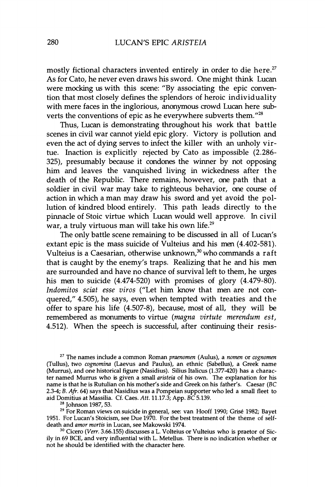**mostly fictional characters invented entirely in order to die here.27 As for Cato, he never even draws his sword. One might think Lucan were mocking us with this scene: "By associating the epic convention that most closely defines the splendors of heroic individuality with mere faces in the inglorious, anonymous crowd Lucan here subverts the conventions of epic as he everywhere subverts them."28** 

**Thus, Lucan is demonstrating throughout his work that battle scenes in civil war cannot yield epic glory. Victory is pollution and even the act of dying serves to infect the killer with an unholy virtue. Inaction is explicitly rejected by Cato as impossible (2.286- 325), presumably because it condones the winner by not opposing him and leaves the vanquished living in wickedness after the death of the Republic. There remains, however, one path that a soldier in civil war may take to righteous behavior, one course of action in which a man may draw his sword and yet avoid the pollution of kindred blood entirely. This path leads directly to the pinnacle of Stoic virtue which Lucan would well approve. In civil war, a truly virtuous man will take his own life.29** 

**The only battle scene remaining to be discussed in all of Lucan's extant epic is the mass suicide of Vulteius and his men (4.402-581). Vulteius is a Caesarian, otherwise unknown,30 who commands a raft that is caught by the enemy's traps. Realizing that he and his men are surrounded and have no chance of survival left to them, he urges his men to suicide (4.474-520) with promises of glory (4.479-80). Indomitos sciat esse viros ("Let him know that men are not conquered," 4.505), he says, even when tempted with treaties and the offer to spare his life (4.507-8), because, most of all, they will be remembered as monuments to virtue (magna virtute merendum est, 4.512). When the speech is successful, after continuing their resis-**

**27 The names include a common Roman praenomen (Aulus), a nomen or cognomen (Tullus), two cognomina (Laevus and Paulus), an ethnic (Sabellus), a Greek name (Murrus), and one historical figure (Nasidius). Silius Italicus (1.377-420) has a character named Murrus who is given a small aristeia of his own. The explanation for his name is that he is Rutulian on his mother's side and Greek on his father's. Caesar (BC 2.3-4; B. Afr. 64) says that Nasidius was a Pompeian supporter who led a small fleet to aid Domitius at Massilia. Cf. Caes. Att. 11.17.3; App. BC 5.139.** 

**28 Johnson 1987, 53.** 

**<sup>29</sup>For Roman views on suicide in general, see: van Hooff 1990; Grise 1982; Bayet 1951. For Lucan's Stoicism, see Due 1970. For the best treatment of the theme of selfdeath and amor mortis in Lucan, see Makowski 1974.** 

**30 Cicero (Verr. 3.66.155) discusses a L. Volteius or Vulteius who is praetor of Sicily in 69 BCE, and very influential with L. Metellus. There is no indication whether or not he should be identified with the character here.**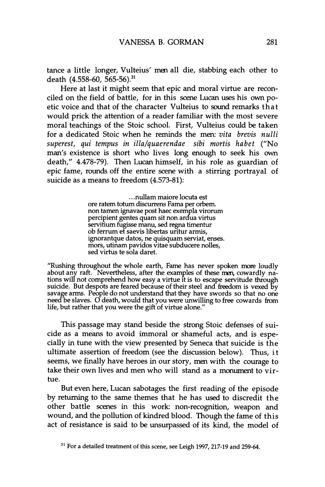**tance a little longer, Vulteius' men all die, stabbing each other to death (4.558-60, 565-56).31** 

**Here at last it might seem that epic and moral virtue are reconciled on the field of battle, for in this scene Lucan uses his own poetic voice and that of the character Vulteius to sound remarks that would prick the attention of a reader familiar with the most severe moral teachings of the Stoic school. First, Vulteius could be taken for a dedicated Stoic when he reminds the men: vita brevis nulli superest, qui tempus in illa/quaerendae sibi mortis habet ("No man's existence is short who lives long enough to seek his own death," 4.478-79). Then Lucan himself, in his role as guardian of epic fame, rounds off the entire scene with a stirring portrayal of suicide as a means to freedom (4.573-81):** 

> **...nullam maiore locuta est ore ratem totum discurrens Fama per orbem. non tamen ignavae post haec exempla virorum percipient gentes quam sit non ardua virtus servitium fugisse manu, sed regna timentur ob ferrum et saevis libertas uritur armis, ignorantque datos, ne quisquam serviat, enses. mors, utinam pavidos vitae subducere nolles, sed virtus te sola daret.**

**"Rushing throughout the whole earth, Fame has never spoken more loudly about any raft. Nevertheless, after the examples of these rrn, cowardly nations will not comprehend how easy a virtue it is to escape servitude through suicide. But despots are feared because of their steel and freedom is vexed by savage arms. People do not understand that they have swords so that no one need be slaves. O death, would that you were unwilling to free cowards from life, but rather that you were the gift of virtue alone."** 

**This passage may stand beside the strong Stoic defenses of suicide as a means to avoid immoral or shameful acts, and is especially in tune with the view presented by Seneca that suicide is the ultimate assertion of freedom (see the discussion below). Thus, it seems, we finally have heroes in our story, men with the courage to take their own lives and men who will stand as a monument to virtue.** 

**But even here, Lucan sabotages the first reading of the episode by returning to the same themes that he has used to discredit the other battle scenes in this work: non-recognition, weapon and wound, and the pollution of kindred blood. Though the fame of this act of resistance is said to be unsurpassed of its kind, the model of** 

**<sup>31</sup>For a detailed treatment of this scene, see Leigh 1997, 217-19 and 259-64.**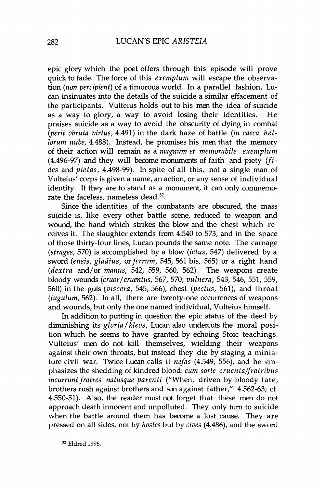**epic glory which the poet offers through this episode will prove quick to fade. The force of this exemplum will escape the observation (non percipient) of a timorous world. In a parallel fashion, Lucan insinuates into the details of the suicide a similar effacement of the participants. Vulteius holds out to his men the idea of suicide**  as a way to glory, a way to avoid losing their identities. **praises suicide as a way to avoid the obscurity of dying in combat (perit obruta virtus, 4.491) in the dark haze of battle (in caeca bellorum nube, 4.488). Instead, he promises his men that the memory of their action will remain as a magnum et memorabile exemplum (4.496-97) and they will become monuments of faith and piety (fides and pietas, 4.498-99). In spite of all this, not a single man of Vulteius' corps is given a name, an action, or any sense of individual identity. If they are to stand as a monument, it can only commemorate the faceless, nameless dead.32** 

**Since the identities of the combatants are obscured, the mass suicide is, like every other battle scene, reduced to weapon and wound, the hand which strikes the blow and the chest which receives it. The slaughter extends from 4.540 to 573, and in the space of those thirty-four lines, Lucan pounds the same note. The carnage (strages, 570) is accomplished by a blow (ictus, 547) delivered by a**  sword (ensis, gladius, or ferrum, 545, 561 bis, 565) or a right hand **(dextra and/or manus, 542, 559, 560, 562). The weapons create bloody wounds (cruor/cruentus, 567, 570; vulnera, 543, 546, 551, 559, 560) in the guts (viscera, 545, 566), chest (pectus, 561), and throat (iugulum, 562). In all, there are twenty-one occurrences of weapons and wounds, but only the one named individual, Vulteius himself.** 

**In addition to putting in question the epic status of the deed by diminishing its gloria/kleos, Lucan also undercuts the moral position which he seems to have granted by echoing Stoic teachings. Vulteius' men do not kill themselves, wielding their weapons against their own throats, but instead they die by staging a miniature civil war. Twice Lucan calls it nefas (4.549, 556), and he emphasizes the shedding of kindred blood: cum sorte cruenta/fratribus**  incurrunt fratres natusque parenti ("When, driven by bloody fate, **brothers rush against brothers and son against father," 4.562-63; cf. 4.550-51). Also, the reader must not forget that these men do not approach death innocent and unpolluted. They only turn to suicide when the battle around them has become a lost cause. They are pressed on all sides, not by hostes but by cives (4.486), and the sword** 

**32 Eldred 1996.**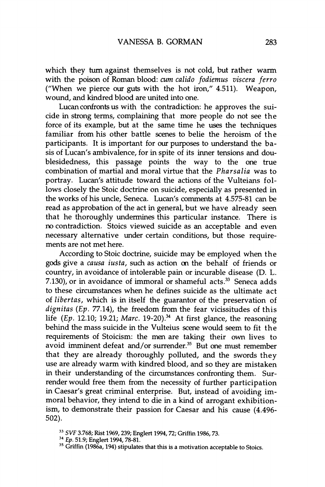**which they turn against themselves is not cold, but rather warm with the poison of Roman blood: cum calido fodiemus viscera ferro ("When we pierce our guts with the hot iron," 4.511). Weapon, wound, and kindred blood are united into one.** 

**Lucan confronts us with the contradiction: he approves the suicide in strong terms, complaining that more people do not see the force of its example, but at the same time he uses the techniques familiar from his other battle scenes to belie the heroism of the participants. It is important for our purposes to understand the basis of Lucan's ambivalence, for in spite of its inner tensions and doublesidedness, this passage points the way to the one true combination of martial and moral virtue that the Pharsalia was to portray. Lucan's attitude toward the actions of the Vulteians follows closely the Stoic doctrine on suicide, especially as presented in the works of his uncle, Seneca. Lucan's comments at 4.575-81 can be read as approbation of the act in general, but we have already seen that he thoroughly undermines this particular instance. There is no contradiction. Stoics viewed suicide as an acceptable and even necessary alternative under certain conditions, but those requirements are not met here.** 

**According to Stoic doctrine, suicide may be employed when the gods give a causa iusta, such as action on the behalf of friends or country, in avoidance of intolerable pain or incurable disease (D. L. 7.130), or in avoidance of immoral or shameful acts.33 Seneca adds to these circumstances when he defines suicide as the ultimate act of libertas, which is in itself the guarantor of the preservation of dignitas (Ep. 77.14), the freedom from the fear vicissitudes of this life (Ep. 12.10; 19.21; Marc. 19-20).34 At first glance, the reasoning behind the mass suicide in the Vulteius scene would seem to fit the requirements of Stoicism: the men are taking their own lives to avoid imminent defeat and/or surrender.35 But one must remember that they are already thoroughly polluted, and the swords they use are already warm with kindred blood, and so they are mistaken in their understanding of the circumstances confronting them. Surrender would free them from the necessity of further participation in Caesar's great criminal enterprise. But, instead of avoiding immoral behavior, they intend to die in a kind of arrogant exhibitionism, to demonstrate their passion for Caesar and his cause (4.496- 502).** 

**<sup>33</sup>SVF 3.768; Rist 1969, 239; Englert 1994, 72; Griffin 1986, 73.** 

**<sup>34</sup>Ep. 51.9; Englert 1994, 78-81.** 

**<sup>35</sup>Griffin (1986a, 194) stipulates that this is a motivation acceptable to Stoics.**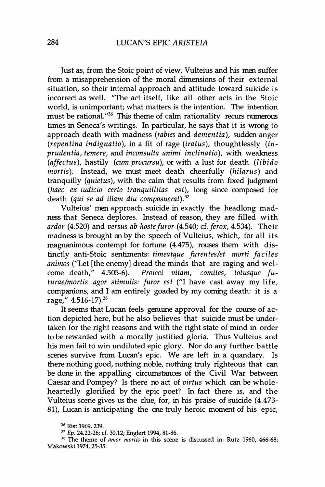**Just as, from the Stoic point of view, Vulteius and his men suffer from a misapprehension of the moral dimensions of their external situation, so their internal approach and attitude toward suicide is incorrect as well. "The act itself, like all other acts in the Stoic world, is unimportant; what matters is the intention. The intention must be rational."36 This theme of calm rationality recurs numerous times in Seneca's writings. In particular, he says that it is wrong to approach death with madness (rabies and dementia), sudden anger (repentina indignatio), in a fit of rage (iratus), thoughtlessly (inprudentia, temere, and inconsulta animi inclinatio), with weakness (affectus), hastily (cum procursu), or with a lust for death (libido mortis). Instead, we must meet death cheerfully (hilarus) and tranquilly (quietus), with the calm that results from fixed judgment (haec ex iudicio certo tranquillitas est), long since composed for death (qui se ad illam diu composuerat).37** 

**Vulteius' men approach suicide in exactly the headlong madness that Seneca deplores. Instead of reason, they are filled with ardor (4.520) and versus ab hostefuror (4.540; cf. ferox, 4.534). Their madness is brought an by the speech of Vulteius, which, for all its magnanimous contempt for fortune (4.475), rouses them with distinctly anti-Stoic sentiments: timeatque furentes/et morti faciles**  animos ("Let [the enemy] dread the minds that are raging and welcome death." 4.505-6). Proieci vitam, comites, totusque fu-Proieci vitam, comites, totusque fu**turae/mortis agor stimulis: furor est ("I have cast away my life, companions, and I am entirely goaded by my coming death: it is a rage," 4.516-17).38** 

**It seems that Lucan feels genuine approval for the course of action depicted here, but he also believes that suicide must be undertaken for the right reasons and with the right state of mind in order to be rewarded with a morally justified gloria. Thus Vulteius and his men fail to win undiluted epic glory. Nor do any further battle scenes survive from Lucan's epic. We are left in a quandary. Is there nothing good, nothing noble, nothing truly righteous that can be done in the appalling circumstances of the Civil War between Caesar and Pompey? Is there no act of virtus which can be wholeheartedly glorified by the epic poet? In fact there is, and the Vulteius scene gives us the clue, for, in his praise of suicide (4.473- 81), Lucan is anticipating the one truly heroic moment of his epic,** 

**<sup>36</sup>Rist 1969, 239.** 

**<sup>37</sup>Ep. 24.22-26; cf. 30.12; Englert 1994, 81-86.** 

**<sup>38</sup>The theme of amor mortis in this scene is discussed in: Rutz 1960, 466-68; Makowski 1974,25-35.**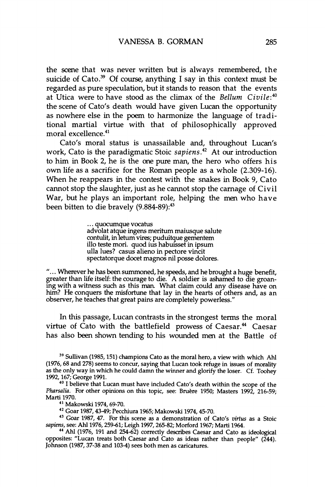**the scene that was never written but is always remembered, the suicide of Cato.39 Of course, anything I say in this context must be regarded as pure speculation, but it stands to reason that the events at Utica were to have stood as the climax of the Bellum Civile:40 the scene of Cato's death would have given Lucan the opportunity as nowhere else in the poem to harmonize the language of traditional martial virtue with that of philosophically approved moral excellence.4'** 

**Cato's moral status is unassailable and, throughout Lucan's work, Cato is the paradigmatic Stoic sapiens.42 At our introduction to him in Book 2, he is the one pure man, the hero who offers his own life as a sacrifice for the Roman people as a whole (2.309-16). When he reappears in the contest with the snakes in Book 9, Cato cannot stop the slaughter, just as he cannot stop the carnage of Civil War, but he plays an important role, helping the men who have been bitten to die bravely (9.884-89):43** 

> **... quocumque vocatus advolat atque ingens meritum maiusque salute contulit, inletum vires; puduitque gementem illo teste mori. quod ius habtusset in ipsum ulla lues? casus alieno in pectore vincit spectatorque docet magnos nil posse dolores.**

**"... Wherever he has been summoned, he speeds, and he brought a huge benefit, greater than life itself: the courage to die. A soldier is ashamed to die groaning with a witness such as this man. What claim could any disease have on him? He conquers the misfortune that lay in the hearts of others and, as an observer, he teaches that great pains are completely powerless."** 

**In this passage, Lucan contrasts in the strongest terms the moral virtue of Cato with the battlefield prowess of Caesar.44 Caesar has also been shown tending to his wounded men at the Battle of** 

**<sup>39</sup>Sullivan (1985,151) champions Cato as the moral hero, a view with which Ahl (1976, 68 and 278) seems to concur, saying that Lucan took refuge in issues of morality as the only way in which he could damn the winner and glorify the loser. Cf. Toohey 1992, 167; George 1991.** 

**<sup>40</sup>I believe that Lucan must have included Cato's death within the scope of the**  Pharsalia. For other opinions on this topic, see: Bruère 1950; Masters 1992, 216-59;<br>Marti 1970.

**Marti 1970. 41 Makowski 1974,69-70. 42 Goar 1987, 43-49; Pecchiura 1965; Makowski 1974, 45-70.** 

**<sup>43</sup>Goar 1987, 47. For this scene as a demonstration of Cato's virtus as a Stoic sapiens, see: Ahl 1976, 259-61; Leigh 1997, 265-82; Morford 1967; Marti 1964.** 

**44 Ahl (1976, 191 and 254-62) correctly describes Caesar and Cato as ideological opposites: "Lucan treats both Caesar and Cato as ideas rather than people" (244). Johnson (1987, 37-38 and 103-4) sees both men as caricatures.**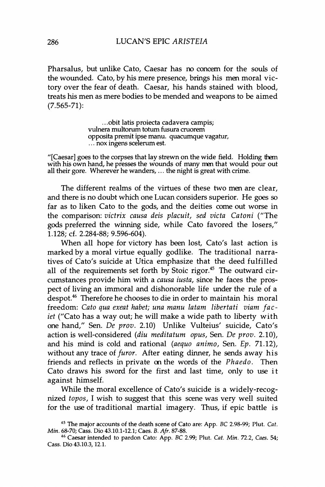Pharsalus, but unlike Cato, Caesar has no concern for the souls of **the wounded. Cato, by his mere presence, brings his men moral victory over the fear of death. Caesar, his hands stained with blood, treats his men as mere bodies to be mended and weapons to be aimed (7.565-71):** 

> **...obit latis proiecta cadavera campis; vulnera multorum totum fusura cruorem opposita premit ipse manu. quacumque vagatur, ... nox ingens scelerum est.**

**"[Caesar] goes to the corpses that lay strewn on the wide field. Holding tem with his own hand, he presses the wounds of many ren that would pour out all their gore. Wherever he wanders, ... the night is great with crime.** 

**The different realms of the virtues of these two men are clear, and there is no doubt which one Lucan considers superior. He goes so far as to liken Cato to the gods, and the deities come out worse in the comparison: victrix causa deis placuit, sed victa Catoni ("The gods preferred the winning side, while Cato favored the losers," 1.128; cf. 2.284-88; 9.596-604).** 

**When all hope for victory has been lost, Cato's last action is marked by a moral virtue equally godlike. The traditional narratives of Cato's suicide at Utica emphasize that the deed fulfilled all of the requirements set forth by Stoic rigor.45 The outward circumstances provide him with a causa iusta, since he faces the prospect of living an immoral and dishonorable life under the rule of a despot.46 Therefore he chooses to die in order to maintain his moral freedom: Cato qua exeat habet; una manu latam libertati viam faciet ("Cato has a way out; he will make a wide path to liberty with one hand," Sen. De prov. 2.10) Unlike Vulteius' suicide, Cato's action is well-considered (diu meditatum opus, Sen. De prov. 2.10), and his mind is cold and rational (aequo animo, Sen. Ep. 71.12), without any trace of furor. After eating dinner, he sends away his friends and reflects in private an the words of the Phaedo. Then Cato draws his sword for the first and last time, only to use it against himself.** 

**While the moral excellence of Cato's suicide is a widely-recognized topos, I wish to suggest that this scene was very well suited for the use of traditional martial imagery. Thus, if epic battle is** 

**<sup>45</sup>The major accounts of the death scene of Cato are: App. BC 2.98-99; Plut. Cat. Min. 68-70; Cass. Dio 43.10.1-12.1; Caes. B. Afr. 87-88.** 

**<sup>46</sup>Caesar intended to pardon Cato: App. BC 2.99; Plut. Cat. Min. 72.2, Caes. 54; Cass. Dio 43.10.3, 12.1.**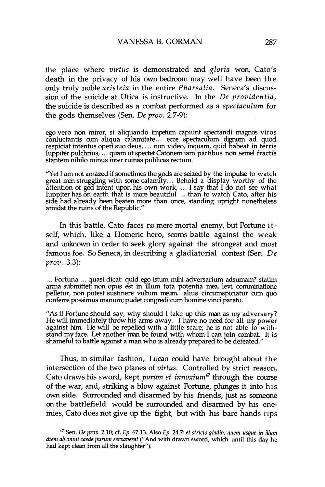**the place where virtus is demonstrated and gloria won, Cato's death in the privacy of his own bedroom may well have been the only truly noble aristeia in the entire Pharsalia. Seneca's discussion of the suicide at Utica is instructive. In the De providentia, the suicide is described as a combat performed as a spectaculum for the gods themselves (Sen. De prov. 2.7-9):** 

**ego vero non miror, si aliquando impetum capiunt spectandi magnos viros conluctantis cum aliqua calamitate... ecce spectaculum dignum ad quod respiciat intentus open suo deus, ... non video, inquam, quid habeat in terris Iuppiter pulchrius, ... quam ut spectet Catonem iam partibus non semel fractis stantem nihilo minus inter ruinas publicas rectum.** 

**"Yet I am not amazed if sometimes the gods are seized by the impulse to watch**  great men struggling with some calamity... Behold a display worthy of the **attention of god intent upon his own work, ... I say that I do not see what Iuppiter has on earth that is more beautiful ... than to watch Cato, after his side had already been beaten more than once, standing upright nonetheless amidst the ruins of the Republic."** 

**In this battle, Cato faces no mere mortal enemy, but Fortune itself, which, like a Homeric hero, scorns battle against the weak and unknown in order to seek glory against the strongest and most famous foe. So Seneca, in describing a gladiatorial contest (Sen. De prov. 3.3):** 

**... Fortuna ... quasi dicat: quid ego istum mihi adversarium adsumam? statim arma submittet; non opus est in ilium tota potentia mea, levi comminatione pelletur, non potest sustinere vultum nmum alius circumspiciatur cum quo conferre possimus manum; pudet congredi cum homine vinci parato.** 

**"As if Fortune should say, why should I take up this man as my adversary? He will immediately throw his arms away. I have no need for all my power against him. He will be repelled with a little scare; he is not able to withstand my face. Let another man be found with whom I can join combat. It is shameful to battle against a man who is already prepared to be defeated."** 

**Thus, in similar fashion, Lucan could have brought about the intersection of the two planes of virtus. Controlled by strict reason,**  Cato draws his sword, kept *purum et innoxium<sup>47</sup>* through the course **of the war, and, striking a blow against Fortune, plunges it into his own side. Surrounded and disarmed by his friends, just as someone on the battlefield would be surrounded and disarmed by his enemies, Cato does not give up the fight, but with his bare hands rips** 

**<sup>47</sup>Sen. De prov. 2.10; cf. Ep. 67.13. Also Ep. 24.7: et stricto gladio, quem usque in illum diem ab omni caede purum servaverat ("And with drawn sword, which until this day he had kept clean from all the slaughter").**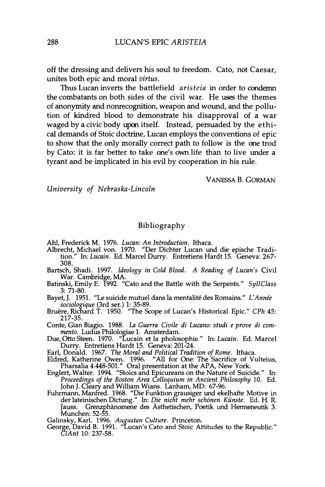**off the dressing and delivers his soul to freedom. Cato, not Caesar, unites both epic and moral virtus.** 

**Thus Lucan inverts the battlefield aristeia in order to condemn the combatants on both sides of the civil war. He uses the themes of anonymity and nonrecognition, weapon and wound, and the pollution of kindred blood to demonstrate his disapproval of a war waged by a civic body upon itself. Instead, persuaded by the ethical demands of Stoic doctrine, Lucan employs the conventions of epic to show that the only morally correct path to follow is the one trod by Cato: it is far better to take one's own life than to live under a tyrant and be implicated in his evil by cooperation in his rule.** 

**VANESSA B. GORMAN** 

**University of Nebraska-Lincoln** 

## **Bibliography**

**Ahl, Frederick M. 1976. Lucan: An Introduction. Ithaca.** 

- **Albrecht, Michael von. 1970. "Der Dichter Lucan und die epische Tradition." In: Lucain. Ed. Marcel Durry. Entretiens Hardt 15. Geneva: 267- 308.**
- **Bartsch, Shadi. 1997. Ideology in Cold Blood. A Reading of Lucan's Civil War. Cambridge, MA.**

**Batinski, Emily E. 1992. "Cato and the Battle with the Serpents." SyllClass 3: 71-80.** 

Bayet, J. 1951. "Le suicide mutuel dans la mentalité des Romains." L'Année **sociologique (3rd ser.) 1: 35-89.** 

**Bruere, Richard T. 1950. "The Scope of Lucan's Historical Epic." CPh 45: 217-35.** 

**Conte, Gian Biagio. 1988. La Guerra Civile di Lucano: studi e prove di commento. Ludus Philologiae 1. Amsterdam.** 

**Due, Otto Steen. 1970. "Lucain et la pholosophie." In: Lucain. Ed. Marcel Durry. Entretiens Hardt 15. Geneva: 201-24.** 

**Earl, Donald. 1967. The Moral and Political Tradition of Rome. Ithaca.** 

**Eldred, Katherine Owen. 1996. "All for One: The Sacrifice of Vulteius, Pharsalia 4.448-501." Oral presentation at the APA, New York.** 

**Englert, Walter. 1994. "Stoics and Epicureans on the Nature of Suicide." In: Proceedings of the Boston Area Colloquium in Ancient Philosophy 10. Ed. John J. Cleary and William Wians. Lanham, MD: 67-96.** 

**Fuhrmann, Manfred. 1968. "Die Funktion grausiger und ekelhafte Motive in**  der lateinischen Dictung." In: Die nicht mehr schönen Künste. Ed. H. R.<br>I Jauss. Grenzphänomene des Ästhetischen, Poetik und Hermeneutik 3. **Munchen: 52-55.** 

**Galinsky, Karl. 1996. Augustan Culture. Princeton.** 

**George, David B. 1991. "Lucan's Cato and Stoic Attitudes to the Republic." ClAnt 10: 237-58.**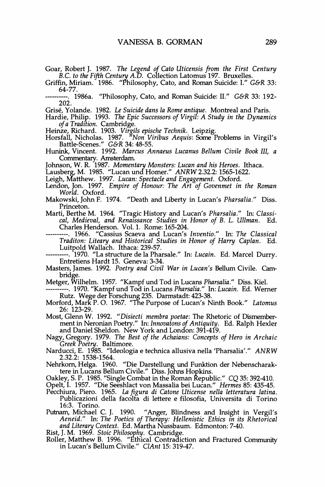- **Goar, Robert J. 1987. The Legend of Cato Uticensis from the First Century B.C. to the Fifth Century A.D. Collection Latomus 197. Bruxelles.**
- **Griffin, Miriam. 1986. "Philosophy, Cato, and Roman Suicide: I." G&R 33: 64-77.**
- **.1986a. "Philosophy, Cato, and Roman Suicide: II." G&R 33: 192- 202.**
- **Grise, Yolande. 1982. Le Suicide dans la Rome antique. Montreal and Paris.**
- **Hardie, Philip. 1993. The Epic Successors of Virgil: A Study in the Dynamics of a Tradition. Cambridge.**
- **Heinze, Richard. 1903. Virgils epische Technik. Leipzig.**
- Horsfall, Nicholas. 1987. *"Non Viribus Aequis: So*me Problems in Virgil's Battle-Scenes." *G&R* 34: 48-55.
- **Hunink, Vincent. 1992. Marcus Annaeus Lucanus Bellum Civile Book III, a Commentary. Amsterdam.**
- 
- **Johnson, W. R. 1987. Momentary Monsters: Lucan and his Heroes. Ithaca. Lausberg, M. 1985. "Lucan und Homer." ANRW 2.32.2: 1565-1622.**
- **Leigh, Matthew. 1997. Lucan: Spectacle and Engagement. Oxford.**
- **Lendon, Jon. 1997. Empire of Honour: The Art of Govenmet in the Roman World. Oxford.**
- **Makowski, John F. 1974. "Death and Liberty in Lucan's Pharsalia." Diss. Princeton.**
- **Marti, Berthe M. 1964. "Tragic History and Lucan's Pharsalia." In: Classical, Medieval, and Renaissance Studies in Honor of B. L. Ullman. Ed. Charles Henderson. Vol. 1. Rome: 165-204.**
- **. 1966. "Cassius Scaeva and Lucan's Inventio." In: The Classical Traditon: Liteary and Historical Studies in Honor of Harry Caplan. Ed. Luitpold Wallach. Ithaca: 239-57.**
- **. 1970. "La structure de la Pharsale." In: Lucain. Ed. Marcel Durry. Entretiens Hardt 15. Geneva: 3-34.**
- **Masters, James. 1992. Poetry and Civil War in Lucan's Bellum Civile. Cambridge.**
- **Metger, Wilhelm. 1957. "Kampf und Tod in Lucans Pharsalia." Diss. Kiel.**
- **. 1970. "Kampf und Tod in Lucans Pharsalia." In: Lucain. Ed. Werner**  Rutz. Wege der Forschung 235. Darmstadt: 423-38.
- **Morford, Mark P. 0. 1967. "The Purpose of Lucan's Ninth Book." Latomus 26: 123-29.**
- **Most, Glenn W. 1992. "Disiecti membra poetae: The Rhetoric of Dismemberment in Neronian Poetry." In: Innovatons of Antiquity. Ed. Ralph Hexler and Daniel Sheldon. New York and London: 391-419.**
- **Nagy, Gregory. 1979. The Best of the Achaians: Concepts of Hero in Archaic Greek Poetry. Baltimore.**
- **Narducci, E. 1985. "Ideologia e technica allusiva nella 'Pharsalia'." ANRW 2.32.2: 1538-1564.**
- **Nehrkom, Helga. 1960. "Die Darstellung und Funktion der Nebenscharaktere in Lucans Bellum Civile." Diss. Johns Hopkins.**
- **Oakley, S. P. 1985. "Single Combat in the Roman Republic." CQ 35: 392-410.**
- **Opelt, I. 1957. "Die Seeshlact von Massalia bei Lucan." Hermes 85: 435-45.**
- **Pecchiura, Piero. 1965. La figura di Catone Uticense nella letteratura latina. Publicazioni della facolta di lettere e filosofia, Universita di Torino**  16:3. Torino.<br>**Putnam, Michael C. J.** 1990. "Anger, Blindness and Insight in Vergil's
- Aeneid." In: The Poetics of Therapy: Hellenistic Ethics in its Rhetorical **and Literary Context. Ed. Martha Nussbaum. Edmonton: 7-40.**
- **Rist, J. M. 1969. Stoic Philosophy. Cambridge.**
- **Roller, Matthew B. 1996. "Ethical Contradiction and Fractured Community in Lucan's Bellum Civile." ClAnt 15: 319-47.**